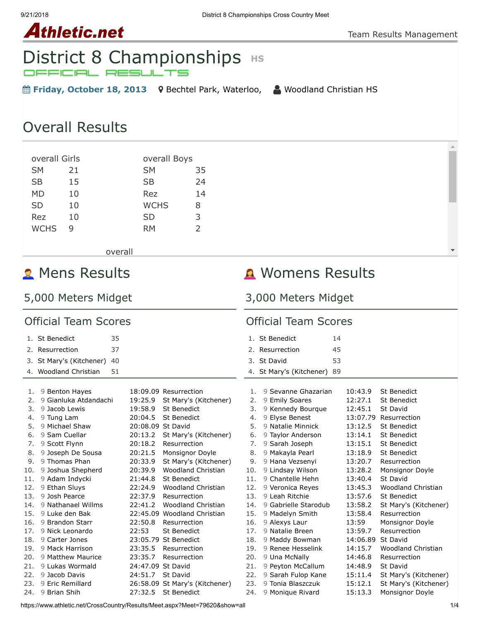# **Athletic.net**

# District 8 Championships **HS**

- **Friday, October 18, 2013** Rechtel Park, Waterloo, △ [Woodland Christian HS](https://www.athletic.net/CrossCountry/School.aspx?SchoolID=27436)
- 

**A** Womens Results

3,000 Meters Midget

# Overall Results

| overall Girls |    | overall Boys |    |
|---------------|----|--------------|----|
| <b>SM</b>     | 21 | <b>SM</b>    | 35 |
| <b>SB</b>     | 15 | <b>SB</b>    | 24 |
| МD            | 10 | Rez          | 14 |
| SD            | 10 | WCHS         | 8  |
| Rez           | 10 | <b>SD</b>    | 3  |
| <b>WCHS</b>   | q  | RM           | フ  |
|               |    |              |    |

overall

# **R** Mens Results

# 5,000 Meters Midget

| <b>Official Team Scores</b> |                                |                   | <b>Official Team Scores</b>    |     |                             |          |                           |
|-----------------------------|--------------------------------|-------------------|--------------------------------|-----|-----------------------------|----------|---------------------------|
|                             | 1. St Benedict<br>35           |                   |                                |     | 1. St Benedict              | 14       |                           |
|                             | 37<br>2. Resurrection          |                   |                                |     | 2. Resurrection             | 45       |                           |
|                             | 3. St Mary's (Kitchener)<br>40 |                   |                                |     | 3. St David                 | 53       |                           |
|                             |                                |                   |                                |     |                             |          |                           |
|                             | 51<br>4. Woodland Christian    |                   |                                |     | 4. St Mary's (Kitchener) 89 |          |                           |
| 1.                          | 9 Benton Hayes                 |                   | 18:09.09 Resurrection          | 1.  | 9 Sevanne Ghazarian         | 10:43.9  | <b>St Benedict</b>        |
| 2.                          | 9 Gianluka Atdandachi          | 19:25.9           | St Mary's (Kitchener)          | 2.  | 9 Emily Soares              | 12:27.1  | <b>St Benedict</b>        |
| 3.                          | 9 Jacob Lewis                  | 19:58.9           | <b>St Benedict</b>             | 3.  | 9 Kennedy Bourque           | 12:45.1  | St David                  |
| 4.                          | 9 Tung Lam                     | 20:04.5           | St Benedict                    | 4.  | 9 Elyse Benest              | 13:07.79 | Resurrection              |
| 5.                          | 9 Michael Shaw                 | 20:08.09 St David |                                | 5.  | 9 Natalie Minnick           | 13:12.5  | <b>St Benedict</b>        |
| 6.                          | 9 Sam Cuellar                  | 20:13.2           | St Mary's (Kitchener)          | 6.  | 9 Taylor Anderson           | 13:14.1  | <b>St Benedict</b>        |
| 7.                          | 9 Scott Flynn                  | 20:18.2           | Resurrection                   | 7.  | 9 Sarah Joseph              | 13:15.1  | <b>St Benedict</b>        |
| 8.                          | 9 Joseph De Sousa              | 20:21.5           | Monsignor Doyle                | 8.  | 9 Makayla Pearl             | 13:18.9  | <b>St Benedict</b>        |
| 9.                          | 9 Thomas Phan                  | 20:33.9           | St Mary's (Kitchener)          | 9.  | 9 Hana Vezsenyi             | 13:20.7  | Resurrection              |
| 10.                         | 9 Joshua Shepherd              | 20:39.9           | Woodland Christian             | 10. | 9 Lindsay Wilson            | 13:28.2  | Monsignor Doyle           |
| 11.                         | 9 Adam Indycki                 | 21:44.8           | <b>St Benedict</b>             | 11. | 9 Chantelle Hehn            | 13:40.4  | St David                  |
| 12.                         | 9 Ethan Sluys                  | 22:24.9           | Woodland Christian             | 12. | 9 Veronica Reyes            | 13:45.3  | Woodland Christian        |
| 13.                         | 9 Josh Pearce                  | 22:37.9           | Resurrection                   | 13. | 9 Leah Ritchie              | 13:57.6  | <b>St Benedict</b>        |
| 14.                         | 9 Nathanael Willms             | 22:41.2           | <b>Woodland Christian</b>      | 14. | 9 Gabrielle Starodub        | 13:58.2  | St Mary's (Kitchener)     |
| 15.                         | 9 Luke den Bak                 |                   | 22:45.09 Woodland Christian    | 15. | 9 Madelyn Smith             | 13:58.4  | Resurrection              |
| 16.                         | 9 Brandon Starr                | 22:50.8           | Resurrection                   | 16. | 9 Alexys Laur               | 13:59    | Monsignor Doyle           |
| 17.                         | 9 Nick Leonardo                | 22:53             | St Benedict                    | 17. | 9 Natalie Breen             | 13:59.7  | Resurrection              |
| 18.                         | 9 Carter Jones                 |                   | 23:05.79 St Benedict           | 18. | 9 Maddy Bowman              | 14:06.89 | St David                  |
| 19.                         | 9 Mack Harrison                | 23:35.5           | Resurrection                   | 19. | 9 Renee Hesselink           | 14:15.7  | <b>Woodland Christian</b> |
| 20.                         | 9 Matthew Maurice              | 23:35.7           | Resurrection                   | 20. | 9 Una McNally               | 14:46.8  | Resurrection              |
| 21.                         | 9 Lukas Wormald                | 24:47.09 St David |                                | 21. | 9 Peyton McCallum           | 14:48.9  | St David                  |
| 22.                         | 9 Jacob Davis                  | 24:51.7           | <b>St David</b>                | 22. | 9 Sarah Fulop Kane          | 15:11.4  | St Mary's (Kitchener)     |
| 23.                         | 9 Eric Remillard               |                   | 26:58.09 St Mary's (Kitchener) | 23. | 9 Tonia Blaszczuk           | 15:12.1  | St Mary's (Kitchener)     |
| 24.                         | 9 Brian Shih                   | 27:32.5           | <b>St Benedict</b>             | 24. | 9 Monique Rivard            | 15:13.3  | Monsignor Doyle           |

https://www.athletic.net/CrossCountry/Results/Meet.aspx?Meet=79620&show=all 1/4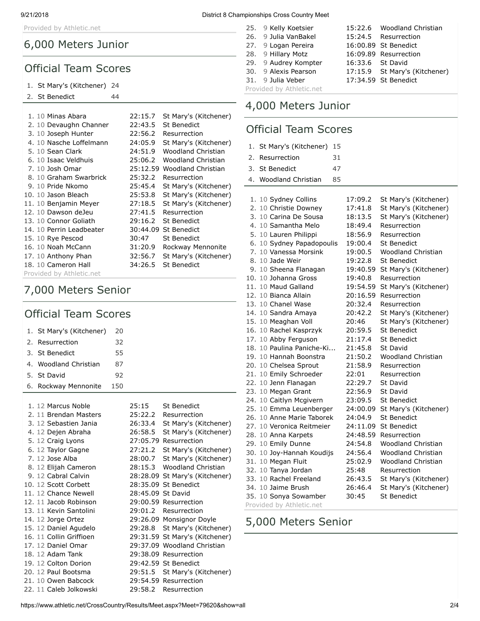Provided by Athletic.net

### 6,000 Meters Junior

### Official Team Scores

#### 1. [St Mary's \(Kitchener\)](https://www.athletic.net/CrossCountry/School.aspx?SchoolID=27485) 24

#### 2. [St Benedict](https://www.athletic.net/CrossCountry/School.aspx?SchoolID=27484) 44

| 1. 10 Minas Abara        | 22:15.7 | St Mary's (Kitchener)       |
|--------------------------|---------|-----------------------------|
| 2. 10 Devaughn Channer   | 22:43.5 | <b>St Benedict</b>          |
| 3. 10 Joseph Hunter      | 22:56.2 | Resurrection                |
| 4. 10 Nasche Loffelmann  | 24:05.9 | St Mary's (Kitchener)       |
| 5. 10 Sean Clark         | 24:51.9 | Woodland Christian          |
| 6. 10 Isaac Veldhuis     | 25:06.2 | Woodland Christian          |
| 7. 10 Josh Omar          |         | 25:12.59 Woodland Christian |
| 8. 10 Graham Swarbrick   | 25:32.2 | Resurrection                |
| 9. 10 Pride Nkomo        | 25:45.4 | St Mary's (Kitchener)       |
| 10. 10 Jason Bleach      | 25:53.8 | St Mary's (Kitchener)       |
| 11. 10 Benjamin Meyer    | 27:18.5 | St Mary's (Kitchener)       |
| 12. 10 Dawson deJeu      | 27:41.5 | Resurrection                |
| 13. 10 Connor Goliath    | 29:16.2 | <b>St Benedict</b>          |
| 14. 10 Perrin Leadbeater |         | 30:44.09 St Benedict        |
| 15. 10 Rye Pescod        | 30:47   | <b>St Benedict</b>          |
| 16. 10 Noah McCann       | 31:20.9 | Rockway Mennonite           |
| 17. 10 Anthony Phan      | 32:56.7 | St Mary's (Kitchener)       |
| 18. 10 Cameron Hall      | 34:26.5 | <b>St Benedict</b>          |
| Provided by Athletic.net |         |                             |

# 7,000 Meters Senior

# Official Team Scores

| 1. St Mary's (Kitchener) | 20  |  |
|--------------------------|-----|--|
| 2. Resurrection          | 32  |  |
| 3. St Benedict           | 55  |  |
| 4. Woodland Christian    | 87  |  |
| 5. St David              | 92  |  |
| 6. Rockway Mennonite     | 150 |  |

| 1. 12 Marcus Noble      | 25:15             | <b>St Benedict</b>             |
|-------------------------|-------------------|--------------------------------|
| 2. 11 Brendan Masters   | 25:22.2           | Resurrection                   |
| 3. 12 Sebastien Jania   | 26:33.4           | St Mary's (Kitchener)          |
| 4. 12 Dejen Abraha      | 26:58.5           | St Mary's (Kitchener)          |
| 5. 12 Craig Lyons       |                   | 27:05.79 Resurrection          |
| 6. 12 Taylor Gagne      | 27:21.2           | St Mary's (Kitchener)          |
| 7. 12 Jose Alba         | 28:00.7           | St Mary's (Kitchener)          |
| 8. 12 Elijah Cameron    | 28:15.3           | <b>Woodland Christian</b>      |
| 9. 12 Cabral Calvin     |                   | 28:28.09 St Mary's (Kitchener) |
| 10. 12 Scott Corbett    |                   | 28:35.09 St Benedict           |
| 11. 12 Chance Newell    | 28:45.09 St David |                                |
| 12. 11 Jacob Robinson   |                   | 29:00.59 Resurrection          |
| 13. 11 Kevin Santolini  | 29:01.2           | Resurrection                   |
| 14. 12 Jorge Ortez      |                   | 29:26.09 Monsignor Doyle       |
| 15. 12 Daniel Agudelo   |                   | 29:28.8 St Mary's (Kitchener)  |
| 16. 11 Collin Griffioen |                   | 29:31.59 St Mary's (Kitchener) |
| 17. 12 Daniel Omar      |                   | 29:37.09 Woodland Christian    |
| 18. 12 Adam Tank        |                   | 29:38.09 Resurrection          |
| 19. 12 Colton Dorion    |                   | 29:42.59 St Benedict           |
| 20. 12 Paul Bootsma     | 29:51.5           | St Mary's (Kitchener)          |
| 21. 10 Owen Babcock     |                   | 29:54.59 Resurrection          |
| 22. 11 Caleb Jolkowski  |                   | 29:58.2 Resurrection           |
|                         |                   |                                |

| 25. 9 Kelly Koetsier     |                  | 15:22.6 Woodland Christian    |
|--------------------------|------------------|-------------------------------|
| 26. 9 Julia VanBakel     |                  | 15:24.5 Resurrection          |
| 27. 9 Logan Pereira      |                  | 16:00.89 St Benedict          |
| 28. 9 Hillary Motz       |                  | 16:09.89 Resurrection         |
| 29. 9 Audrey Kompter     | 16:33.6 St David |                               |
| 30. 9 Alexis Pearson     |                  | 17:15.9 St Mary's (Kitchener) |
| 31. 9 Julia Veber        |                  | 17:34.59 St Benedict          |
| Provided by Athletic.net |                  |                               |
|                          |                  |                               |

# 4,000 Meters Junior

### Official Team Scores

| 1. St Mary's (Kitchener) 15 |    |  |
|-----------------------------|----|--|
| 2. Resurrection             | 31 |  |
| 3. St Benedict              | 47 |  |
| 4. Woodland Christian       | 85 |  |

| 1. 10 Sydney Collins      | 17:09.2  | St Mary's (Kitchener)     |  |  |  |  |
|---------------------------|----------|---------------------------|--|--|--|--|
| 2. 10 Christie Downey     | 17:41.8  | St Mary's (Kitchener)     |  |  |  |  |
| 3. 10 Carina De Sousa     | 18:13.5  | St Mary's (Kitchener)     |  |  |  |  |
| 4. 10 Samantha Melo       | 18:49.4  | Resurrection              |  |  |  |  |
| 5. 10 Lauren Philippi     | 18:56.9  | Resurrection              |  |  |  |  |
| 6. 10 Sydney Papadopoulis | 19:00.4  | <b>St Benedict</b>        |  |  |  |  |
| 7. 10 Vanessa Morsink     | 19:00.5  | Woodland Christian        |  |  |  |  |
| 8. 10 Jade Weir           | 19:22.8  | <b>St Benedict</b>        |  |  |  |  |
| 9. 10 Sheena Flanagan     | 19:40.59 | St Mary's (Kitchener)     |  |  |  |  |
| 10. 10 Johanna Gross      | 19:40.8  | Resurrection              |  |  |  |  |
| 11. 10 Maud Galland       | 19:54.59 | St Mary's (Kitchener)     |  |  |  |  |
| 12. 10 Bianca Allain      | 20:16.59 | Resurrection              |  |  |  |  |
| 13. 10 Chanel Wase        | 20:32.4  | Resurrection              |  |  |  |  |
| 14. 10 Sandra Amaya       | 20:42.2  | St Mary's (Kitchener)     |  |  |  |  |
| 15. 10 Meaghan Voll       | 20:46    | St Mary's (Kitchener)     |  |  |  |  |
| 16. 10 Rachel Kasprzyk    | 20:59.5  | <b>St Benedict</b>        |  |  |  |  |
| 17. 10 Abby Ferguson      | 21:17.4  | <b>St Benedict</b>        |  |  |  |  |
| 18. 10 Paulina Paniche-Ki | 21:45.8  | St David                  |  |  |  |  |
| 19. 10 Hannah Boonstra    | 21:50.2  | <b>Woodland Christian</b> |  |  |  |  |
| 20. 10 Chelsea Sprout     | 21:58.9  | Resurrection              |  |  |  |  |
| 21. 10 Emily Schroeder    | 22:01    | Resurrection              |  |  |  |  |
| 22. 10 Jenn Flanagan      | 22:29.7  | St David                  |  |  |  |  |
| 23. 10 Megan Grant        | 22:56.9  | St David                  |  |  |  |  |
| 24. 10 Caitlyn Mcgivern   | 23:09.5  | <b>St Benedict</b>        |  |  |  |  |
| 25. 10 Emma Leuenberger   | 24:00.09 | St Mary's (Kitchener)     |  |  |  |  |
| 26. 10 Anne Marie Taborek | 24:04.9  | <b>St Benedict</b>        |  |  |  |  |
| 27. 10 Veronica Reitmeier | 24:11.09 | <b>St Benedict</b>        |  |  |  |  |
| 28. 10 Anna Karpets       | 24:48.59 | Resurrection              |  |  |  |  |
| 29. 10 Emily Dunne        | 24:54.8  | <b>Woodland Christian</b> |  |  |  |  |
| 30. 10 Joy-Hannah Koudijs | 24:56.4  | <b>Woodland Christian</b> |  |  |  |  |
| 31. 10 Megan Fluit        | 25:02.9  | <b>Woodland Christian</b> |  |  |  |  |
| 32. 10 Tanya Jordan       | 25:48    | Resurrection              |  |  |  |  |
| 33. 10 Rachel Freeland    | 26:43.5  | St Mary's (Kitchener)     |  |  |  |  |
| 34. 10 Jaime Brush        | 26:46.4  | St Mary's (Kitchener)     |  |  |  |  |
| 35. 10 Sonya Sowamber     | 30:45    | <b>St Benedict</b>        |  |  |  |  |
| Provided by Athletic.net  |          |                           |  |  |  |  |

# 5,000 Meters Senior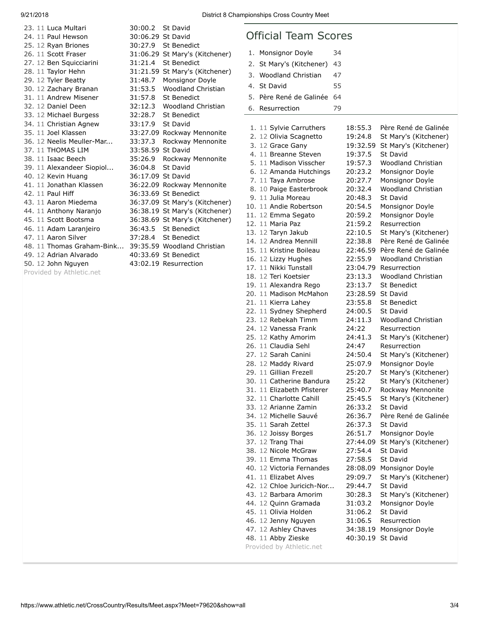| 23. 11 Luca Multari       | 30:00.2 St David  |                                |
|---------------------------|-------------------|--------------------------------|
| 24. 11 Paul Hewson        | 30:06.29 St David |                                |
| 25. 12 Ryan Briones       |                   | 30:27.9 St Benedict            |
| 26. 11 Scott Fraser       |                   | 31:06.29 St Mary's (Kitchener) |
| 27. 12 Ben Squicciarini   | 31:21.4           | <b>St Benedict</b>             |
| 28. 11 Taylor Hehn        | 31:21.59          | St Mary's (Kitchener)          |
| 29. 12 Tyler Beatty       | 31:48.7           | Monsignor Doyle                |
| 30. 12 Zachary Branan     | 31:53.5           | Woodland Christian             |
| 31. 11 Andrew Misener     | 31:57.8           | St Benedict                    |
| 32. 12 Daniel Deen        | 32:12.3           | Woodland Christian             |
| 33. 12 Michael Burgess    | 32:28.7           | <b>St Benedict</b>             |
| 34. 11 Christian Agnew    | 33:17.9           | St David                       |
| 35. 11 Joel Klassen       |                   | 33:27.09 Rockway Mennonite     |
| 36. 12 Neelis Meuller-Mar | 33:37.3           | Rockway Mennonite              |
| 37. 11 THOMAS LIM         | 33:58.59 St David |                                |
| 38. 11 Isaac Beech        | 35:26.9           | Rockway Mennonite              |
| 39. 11 Alexandeer Siopiol | 36:04.8           | St David                       |
| 40. 12 Kevin Huang        | 36:17.09 St David |                                |
| 41. 11 Jonathan Klassen   |                   | 36:22.09 Rockway Mennonite     |
| 42. 11 Paul Hiff          |                   | 36:33.69 St Benedict           |
| 43. 11 Aaron Miedema      |                   | 36:37.09 St Mary's (Kitchener) |
| 44. 11 Anthony Naranjo    |                   | 36:38.19 St Mary's (Kitchener) |
| 45. 11 Scott Bootsma      |                   | 36:38.69 St Mary's (Kitchener) |
| 46. 11 Adam Laranjeiro    | 36:43.5           | <b>St Benedict</b>             |
| 47. 11 Aaron Silver       |                   | 37:28.4 St Benedict            |
| 48. 11 Thomas Graham-Bink |                   | 39:35.59 Woodland Christian    |
| 49. 12 Adrian Alvarado    |                   | 40:33.69 St Benedict           |
| 50. 12 John Nguyen        |                   | 43:02.19 Resurrection          |
| Provided by Athletic.net  |                   |                                |
|                           |                   |                                |

| :00.2 | St David                     |
|-------|------------------------------|
|       | :06.29 St David              |
| :27.9 | <b>St Benedict</b>           |
|       | :06.29 St Mary's (Kitchener) |
| :21.4 | <b>St Benedict</b>           |
|       | :21.59 St Mary's (Kitchener) |
| :48.7 | Monsignor Doyle              |
| :53.5 | <b>Woodland Christian</b>    |
| :57.8 | <b>St Benedict</b>           |
| :12.3 | Woodland Christian           |
| :28.7 | <b>St Benedict</b>           |
| :17.9 | <b>St David</b>              |
|       | :27.09 Rockway Mennonite     |
| :37.3 | Rockway Mennonite            |
|       | :58.59 St David              |
| :26.9 | Rockway Mennonite            |
| :04.8 | St David                     |
|       | :17.09 St David              |
|       | :22.09 Rockway Mennonite     |
|       | :33.69 St Benedict           |
|       | :37.09 St Mary's (Kitchener) |
|       | :38.19 St Mary's (Kitchener) |
|       | :38.69 St Mary's (Kitchener) |
| :43.5 | <b>St Benedict</b>           |
| :28.4 | <b>St Benedict</b>           |
|       | :35.59 Woodland Christian    |
|       | :33.69 St Benedict           |
|       | :02.19 Resurrection          |
|       |                              |
|       |                              |

## Official Team Scores

| 1. | Monsignor Doyle                                    | 34 |                    |                                       |
|----|----------------------------------------------------|----|--------------------|---------------------------------------|
| 2. | St Mary's (Kitchener)                              | 43 |                    |                                       |
| 3. | <b>Woodland Christian</b>                          | 47 |                    |                                       |
| 4. | St David                                           | 55 |                    |                                       |
|    |                                                    |    |                    |                                       |
| 5. | Père René de Galinée                               | 64 |                    |                                       |
| 6. | Resurrection                                       | 79 |                    |                                       |
|    |                                                    |    |                    |                                       |
|    | 1. 11 Sylvie Carruthers                            |    | 18:55.3            | Père René de Galinée                  |
|    | 2. 12 Olivia Scagnetto                             |    | 19:24.8            | St Mary's (Kitchener)                 |
|    | 3. 12 Grace Gany                                   |    | 19:32.59           | St Mary's (Kitchener)                 |
|    | 4. 11 Breanne Steven                               |    | 19:37.5            | <b>St David</b>                       |
|    | 5. 11 Madison Visscher                             |    | 19:57.3            | <b>Woodland Christian</b>             |
|    | 6. 12 Amanda Hutchings<br>7. 11 Taya Ambrose       |    | 20:23.2<br>20:27.7 | Monsignor Doyle<br>Monsignor Doyle    |
|    | 8. 10 Paige Easterbrook                            |    | 20:32.4            | Woodland Christian                    |
|    | 9. 11 Julia Moreau                                 |    | 20:48.3            | St David                              |
|    | 10. 11 Andie Robertson                             |    | 20:54.5            | Monsignor Doyle                       |
|    | 11. 12 Emma Segato                                 |    | 20:59.2            | Monsignor Doyle                       |
|    | 12. 11 Maria Paz                                   |    | 21:59.2            | Resurrection                          |
|    | 13. 12 Taryn Jakub                                 |    | 22:10.5            | St Mary's (Kitchener)                 |
|    | 14. 12 Andrea Mennill                              |    | 22:38.8            | Père René de Galinée                  |
|    | 15. 11 Kristine Boileau                            |    | 22:46.59           | Père René de Galinée                  |
|    | 16. 12 Lizzy Hughes                                |    | 22:55.9            | Woodland Christian                    |
|    | 17. 11 Nikki Tunstall                              |    | 23:04.79           | Resurrection                          |
|    | 18. 12 Teri Koetsier                               |    | 23:13.3            | Woodland Christian                    |
|    | 19. 11 Alexandra Rego                              |    | 23:13.7            | <b>St Benedict</b>                    |
|    | 20. 11 Madison McMahon                             |    | 23:28.59           | <b>St David</b>                       |
|    | 21. 11 Kierra Lahey                                |    | 23:55.8            | <b>St Benedict</b>                    |
|    | 22. 11 Sydney Shepherd                             |    | 24:00.5            | <b>St David</b>                       |
|    | 23. 12 Rebekah Timm<br>24. 12 Vanessa Frank        |    | 24:11.3<br>24:22   | Woodland Christian                    |
|    | 25. 12 Kathy Amorim                                |    | 24:41.3            | Resurrection<br>St Mary's (Kitchener) |
|    | 26. 11 Claudia Sehl                                |    | 24:47              | Resurrection                          |
|    | 27. 12 Sarah Canini                                |    | 24:50.4            | St Mary's (Kitchener)                 |
|    | 28. 12 Maddy Rivard                                |    | 25:07.9            | Monsignor Doyle                       |
|    | 29. 11 Gillian Frezell                             |    | 25:20.7            | St Mary's (Kitchener)                 |
|    | 30. 11 Catherine Bandura                           |    | 25:22              | St Mary's (Kitchener)                 |
|    | 31. 11 Elizabeth Pfisterer                         |    | 25:40.7            | Rockway Mennonite                     |
|    | 32. 11 Charlotte Cahill                            |    | 25:45.5            | St Mary's (Kitchener)                 |
|    | 33. 12 Arianne Zamin                               |    | 26:33.2            | St David                              |
|    | 34. 12 Michelle Sauvé                              |    | 26:36.7            | Père René de Galinée                  |
|    | 35. 11 Sarah Zettel                                |    | 26:37.3            | St David                              |
|    | 36. 12 Joissy Borges                               |    | 26:51.7            | Monsignor Doyle                       |
|    | 37. 12 Trang Thai                                  |    | 27:44.09           | St Mary's (Kitchener)                 |
|    | 38. 12 Nicole McGraw                               |    | 27:54.4            | St David                              |
|    | 39. 11 Emma Thomas                                 |    | 27:58.5            | <b>St David</b>                       |
|    | 40. 12 Victoria Fernandes                          |    | 28:08.09           | Monsignor Doyle                       |
|    | 41. 11 Elizabet Alves<br>42. 12 Chloe Juricich-Nor |    | 29:09.7<br>29:44.7 | St Mary's (Kitchener)<br>St David     |
|    | 43. 12 Barbara Amorim                              |    | 30:28.3            | St Mary's (Kitchener)                 |
|    | 44. 12 Quinn Gramada                               |    | 31:03.2            | Monsignor Doyle                       |
|    | 45. 11 Olivia Holden                               |    | 31:06.2            | St David                              |
|    | 46. 12 Jenny Nguyen                                |    | 31:06.5            | Resurrection                          |
|    | 47. 12 Ashley Chaves                               |    | 34:38.19           | Monsignor Doyle                       |
|    | 48. 11 Abby Zieske                                 |    | 40:30.19           | St David                              |
|    |                                                    |    |                    |                                       |

Provided by Athletic.net